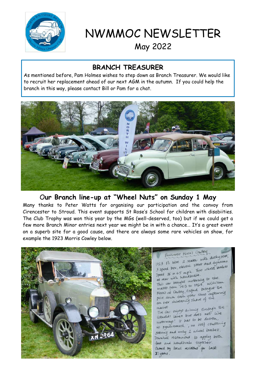

NWMMOC NEWSLETTER May 2022

## **BRANCH TREASURER**

As mentioned before, Pam Holmes wishes to step down as Branch Treasurer. We would like to recruit her replacement ahead of our next AGM in the autumn. If you could help the branch in this way, please contact Bill or Pam for a chat.



## O**ur Branch line-up at "Wheel Nuts" on Sunday 1 May**

Many thanks to Peter Watts for organising our participation and the convoy from Cirencester to Stroud. This event supports St Rose's School for children with disabiities. The Club Trophy was won this year by the MGs (well-deserved, too) but if we could get a few more Branch Minor entries next year we might be in with a chance… It's a great event on a superb site for a good cause, and there are always some rare vehicles on show, for example the 1923 Morris Cowley below.

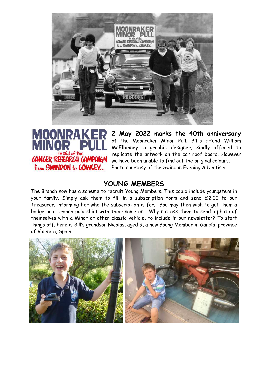

## **MINOR** CANCER RESEARCH CAMPAIGN from SWINDON to COWLEY...

**MOONRAKER** 2 May 2022 marks the 40th anniversary of the Moonraker Minor Pull. Bill's friend William McElhinney, a graphic designer, kindly offered to replicate the artwork on the car roof board. However we have been unable to find out the original colours. Photo courtesy of the Swindon Evening Advertiser.

## **YOUNG MEMBERS**

The Branch now has a scheme to recruit Young Members. This could include youngsters in your family. Simply ask them to fill in a subscription form and send £2.00 to our Treasurer, informing her who the subscription is for. You may then wish to get them a badge or a branch polo shirt with their name on… Why not ask them to send a photo of themselves with a Minor or other classic vehicle, to include in our newsletter? To start things off, here is Bill's grandson Nicolas, aged 9, a new Young Member in Gandía, province of Valencia, Spain.